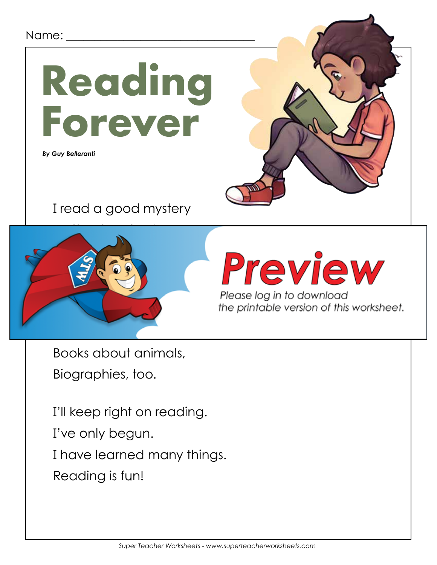#### Name:



 *By Guy Belleranti*



I read a good mystery



# Preview

Please log in to download

Books about animals, Biographies, too.

I'll keep right on reading.

I've only begun.

I have learned many things.

Reading is fun!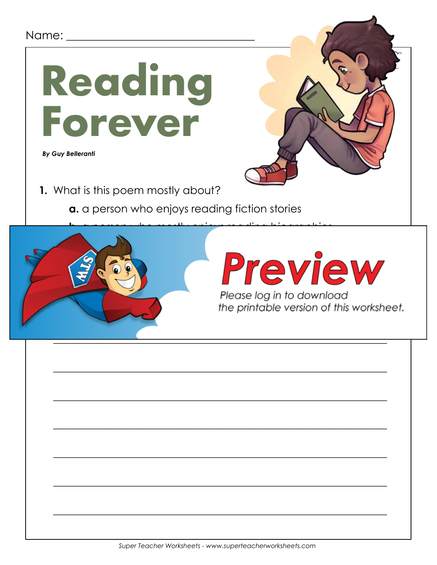#### Name:



 *By Guy Belleranti*

- **1.** What is this poem mostly about?
	- **a.** a person who enjoys reading fiction stories



\_\_\_\_\_\_\_\_\_\_\_\_\_\_\_\_\_\_\_\_\_\_\_\_\_\_\_\_\_\_\_\_\_\_\_\_\_\_\_\_\_\_\_\_\_\_\_\_\_\_\_\_\_\_\_\_\_\_\_\_\_\_\_

\_\_\_\_\_\_\_\_\_\_\_\_\_\_\_\_\_\_\_\_\_\_\_\_\_\_\_\_\_\_\_\_\_\_\_\_\_\_\_\_\_\_\_\_\_\_\_\_\_\_\_\_\_\_\_\_\_\_\_\_\_\_\_

\_\_\_\_\_\_\_\_\_\_\_\_\_\_\_\_\_\_\_\_\_\_\_\_\_\_\_\_\_\_\_\_\_\_\_\_\_\_\_\_\_\_\_\_\_\_\_\_\_\_\_\_\_\_\_\_\_\_\_\_\_\_\_

\_\_\_\_\_\_\_\_\_\_\_\_\_\_\_\_\_\_\_\_\_\_\_\_\_\_\_\_\_\_\_\_\_\_\_\_\_\_\_\_\_\_\_\_\_\_\_\_\_\_\_\_\_\_\_\_\_\_\_\_\_\_\_

\_\_\_\_\_\_\_\_\_\_\_\_\_\_\_\_\_\_\_\_\_\_\_\_\_\_\_\_\_\_\_\_\_\_\_\_\_\_\_\_\_\_\_\_\_\_\_\_\_\_\_\_\_\_\_\_\_\_\_\_\_\_\_

\_\_\_\_\_\_\_\_\_\_\_\_\_\_\_\_\_\_\_\_\_\_\_\_\_\_\_\_\_\_\_\_\_\_\_\_\_\_\_\_\_\_\_\_\_\_\_\_\_\_\_\_\_\_\_\_\_\_\_\_\_\_\_